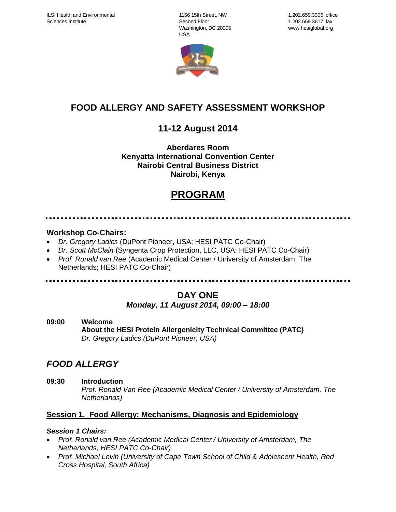1156 15th Street, NW Second Floor Washington, DC 20005 USA



# **FOOD ALLERGY AND SAFETY ASSESSMENT WORKSHOP**

# **11-12 August 2014**

## **Aberdares Room Kenyatta International Convention Center Nairobi Central Business District Nairobi, Kenya**

# **PROGRAM**

## **Workshop Co-Chairs:**

- *Dr. Gregory Ladics* (DuPont Pioneer, USA; HESI PATC Co-Chair)
- *Dr. Scott McClain* (Syngenta Crop Protection, LLC, USA; HESI PATC Co-Chair)
- *Prof. Ronald van Ree* (Academic Medical Center / University of Amsterdam, The Netherlands; HESI PATC Co-Chair)

................................. 

# **DAY ONE**

## *Monday, 11 August 2014, 09:00 – 18:00*

**09:00 Welcome About the HESI Protein Allergenicity Technical Committee (PATC)** *Dr. Gregory Ladics (DuPont Pioneer, USA)*

# *FOOD ALLERGY*

**09:30 Introduction**

*Prof. Ronald Van Ree (Academic Medical Center / University of Amsterdam, The Netherlands)*

## **Session 1. Food Allergy: Mechanisms, Diagnosis and Epidemiology**

## *Session 1 Chairs:*

- *Prof. Ronald van Ree (Academic Medical Center / University of Amsterdam, The Netherlands; HESI PATC Co-Chair)*
- *Prof. Michael Levin (University of Cape Town School of Child & Adolescent Health, Red Cross Hospital, South Africa)*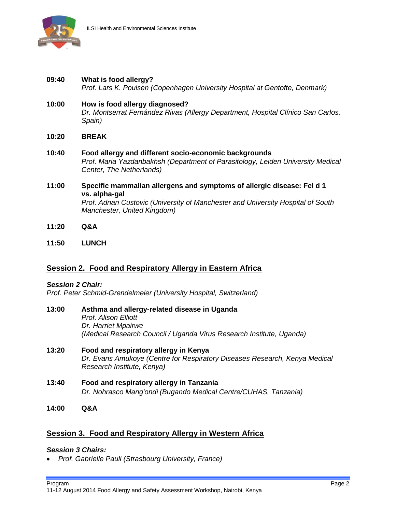

- **09:40 What is food allergy?** *Prof. Lars K. Poulsen (Copenhagen University Hospital at Gentofte, Denmark)*
- **10:00 How is food allergy diagnosed?** *Dr. Montserrat Fernández Rivas (Allergy Department, Hospital Clínico San Carlos, Spain)*
- **10:20 BREAK**
- **10:40 Food allergy and different socio-economic backgrounds** *Prof. Maria Yazdanbakhsh (Department of Parasitology, Leiden University Medical Center, The Netherlands)*
- **11:00 Specific mammalian allergens and symptoms of allergic disease: Fel d 1 vs. alpha-gal** *Prof. Adnan Custovic (University of Manchester and University Hospital of South Manchester, United Kingdom)*
- **11:20 Q&A**
- **11:50 LUNCH**

## **Session 2. Food and Respiratory Allergy in Eastern Africa**

#### *Session 2 Chair:*

*Prof. Peter Schmid-Grendelmeier (University Hospital, Switzerland)*

- **13:00 Asthma and allergy-related disease in Uganda** *Prof. Alison Elliott Dr. Harriet Mpairwe (Medical Research Council / Uganda Virus Research Institute, Uganda)*
- **13:20 Food and respiratory allergy in Kenya** *Dr. Evans Amukoye (Centre for Respiratory Diseases Research, Kenya Medical Research Institute, Kenya)*
- **13:40 Food and respiratory allergy in Tanzania** *Dr. Nohrasco Mang'ondi (Bugando Medical Centre/CUHAS, Tanzania)*
- **14:00 Q&A**

## **Session 3. Food and Respiratory Allergy in Western Africa**

#### *Session 3 Chairs:*

*Prof. Gabrielle Pauli (Strasbourg University, France)*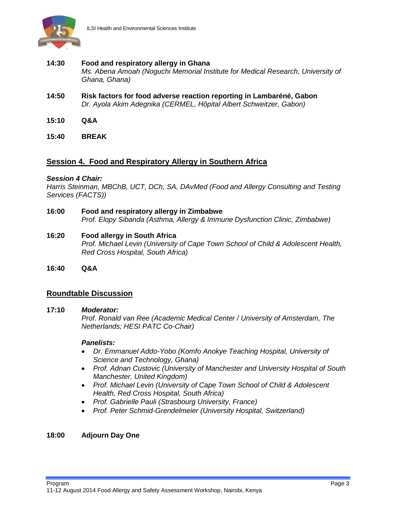

#### **14:30 Food and respiratory allergy in Ghana** *Ms. Abena Amoah (Noguchi Memorial Institute for Medical Research, University of Ghana, Ghana)*

- **14:50 Risk factors for food adverse reaction reporting in Lambaréné, Gabon** *Dr. Ayola Akim Adegnika (CERMEL, Hôpital Albert Schweitzer, Gabon)*
- **15:10 Q&A**
- **15:40 BREAK**

## **Session 4. Food and Respiratory Allergy in Southern Africa**

#### *Session 4 Chair:*

*Harris Steinman, MBChB, UCT, DCh, SA, DAvMed (Food and Allergy Consulting and Testing Services (FACTS))*

- **16:00 Food and respiratory allergy in Zimbabwe** *Prof. Elopy Sibanda (Asthma, Allergy & Immune Dysfunction Clinic, Zimbabwe)*
- **16:20 Food allergy in South Africa** *Prof. Michael Levin (University of Cape Town School of Child & Adolescent Health, Red Cross Hospital, South Africa)*
- **16:40 Q&A**

## **Roundtable Discussion**

#### **17:10** *Moderator:*

*Prof. Ronald van Ree (Academic Medical Center / University of Amsterdam, The Netherlands; HESI PATC Co-Chair)*

#### *Panelists:*

- *Dr. Emmanuel Addo-Yobo (Komfo Anokye Teaching Hospital, University of Science and Technology, Ghana)*
- *Prof. Adnan Custovic (University of Manchester and University Hospital of South Manchester, United Kingdom)*
- *Prof. Michael Levin (University of Cape Town School of Child & Adolescent Health, Red Cross Hospital, South Africa)*
- *Prof. Gabrielle Pauli (Strasbourg University, France)*
- *Prof. Peter Schmid-Grendelmeier (University Hospital, Switzerland)*

#### **18:00 Adjourn Day One**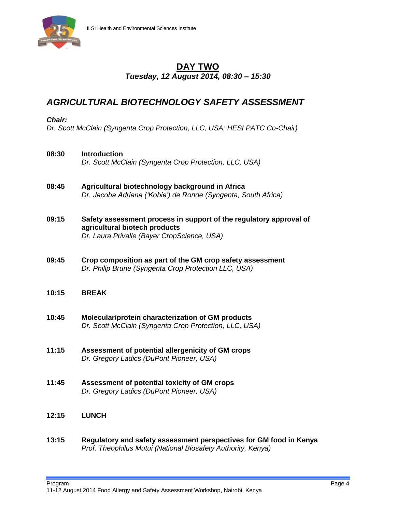

## **DAY TWO** *Tuesday, 12 August 2014, 08:30 – 15:30*

## *AGRICULTURAL BIOTECHNOLOGY SAFETY ASSESSMENT*

#### *Chair:*

*Dr. Scott McClain (Syngenta Crop Protection, LLC, USA; HESI PATC Co-Chair)*

#### **08:30 Introduction**

*Dr. Scott McClain (Syngenta Crop Protection, LLC, USA)*

- **08:45 Agricultural biotechnology background in Africa** *Dr. Jacoba Adriana ('Kobie') de Ronde (Syngenta, South Africa)*
- **09:15 Safety assessment process in support of the regulatory approval of agricultural biotech products** *Dr. Laura Privalle (Bayer CropScience, USA)*
- **09:45 Crop composition as part of the GM crop safety assessment** *Dr. Philip Brune (Syngenta Crop Protection LLC, USA)*

## **10:15 BREAK**

- **10:45 Molecular/protein characterization of GM products**  *Dr. Scott McClain (Syngenta Crop Protection, LLC, USA)*
- **11:15 Assessment of potential allergenicity of GM crops** *Dr. Gregory Ladics (DuPont Pioneer, USA)*
- **11:45 Assessment of potential toxicity of GM crops** *Dr. Gregory Ladics (DuPont Pioneer, USA)*

## **12:15 LUNCH**

**13:15 Regulatory and safety assessment perspectives for GM food in Kenya** *Prof. Theophilus Mutui (National Biosafety Authority, Kenya)*